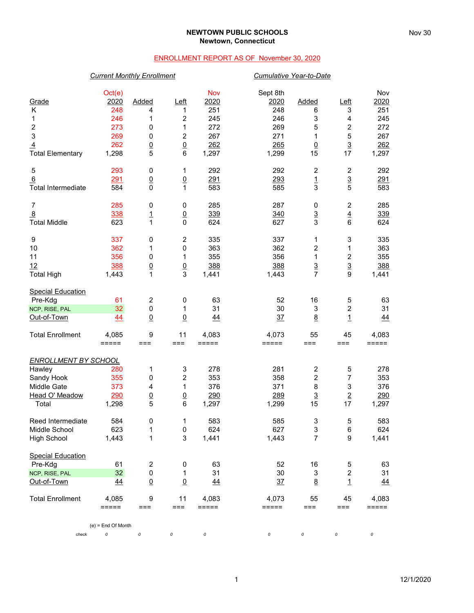### **NEWTOWN PUBLIC SCHOOLS Newtown, Connecticut**

### ENROLLMENT REPORT AS OF November 30, 2020

## *Current Monthly Enrollment Cumulative Year-to-Date*

|                             | Oct(e)               |                  |                  | <b>Nov</b>      | Sept 8th |                           |                         | Nov             |
|-----------------------------|----------------------|------------------|------------------|-----------------|----------|---------------------------|-------------------------|-----------------|
| Grade                       | 2020                 | Added            | Left             | 2020            | 2020     | Added                     | $L$ eft                 | 2020            |
| Κ                           | 248                  | 4                | 1                | 251             | 248      | 6                         | 3                       | 251             |
| 1                           | 246                  | 1                | $\boldsymbol{2}$ | 245             | 246      | 3                         | 4                       | 245             |
| $\overline{\mathbf{c}}$     | 273                  | 0                | 1                | 272             | 269      | 5                         | 2                       | 272             |
| 3                           | 269                  | 0                | $\boldsymbol{2}$ | 267             | 271      | 1                         | 5                       | 267             |
| $\overline{4}$              | 262                  | $\frac{0}{5}$    | $\frac{0}{6}$    | 262             | 265      | $\overline{0}$            | $\frac{3}{17}$          | 262             |
| <b>Total Elementary</b>     | 1,298                |                  |                  | 1,297           | 1,299    | 15                        |                         | 1,297           |
| 5                           | 293                  | 0                | 1                | 292             | 292      | 2                         | $\sqrt{2}$              | 292             |
| 6                           | 291                  | $\underline{0}$  | $\underline{0}$  | 291             | 293      | $\overline{1}$            | $\frac{3}{5}$           | 291             |
| <b>Total Intermediate</b>   | 584                  | 0                | 1                | 583             | 585      | 3                         |                         | 583             |
| $\overline{7}$              | 285                  | 0                | 0                | 285             | 287      | 0                         | $\overline{\mathbf{c}}$ | 285             |
| $\overline{8}$              | 338                  | $\overline{1}$   | $\underline{0}$  | 339             | 340      |                           |                         | 339             |
| <b>Total Middle</b>         | 623                  | 1                | $\mathbf 0$      | 624             | 627      | $\frac{3}{3}$             | $\frac{4}{6}$           | 624             |
| 9                           | 337                  | 0                | $\boldsymbol{2}$ | 335             | 337      | 1                         | 3                       | 335             |
| 10                          | 362                  | 1                | 0                | 363             | 362      | $\overline{c}$            | 1                       | 363             |
| 11                          | 356                  | 0                | 1                | 355             | 356      | $\mathbf{1}$              | $\overline{\mathbf{c}}$ | 355             |
| 12                          | 388                  | $\underline{0}$  |                  | 388             | 388      | $\overline{3}$            |                         | 388             |
| <b>Total High</b>           | 1,443                | $\mathbf{1}$     | $\frac{0}{3}$    | 1,441           | 1,443    | $\overline{7}$            | $\frac{3}{9}$           | 1,441           |
| <b>Special Education</b>    |                      |                  |                  |                 |          |                           |                         |                 |
| Pre-Kdg                     | 61                   | $\boldsymbol{2}$ | 0                | 63              | 52       | 16                        | 5                       | 63              |
| NCP, RISE, PAL              | 32                   | 0                | 1                | 31              | 30       | 3                         | $\boldsymbol{2}$        | 31              |
| Out-of-Town                 | 44                   | $\underline{0}$  | $\underline{0}$  | 44              | 37       | 8                         | $\overline{1}$          | 44              |
| <b>Total Enrollment</b>     | 4,085                | 9                | 11               | 4,083           | 4,073    | 55                        | 45                      | 4,083           |
|                             | =====                | $==$             | $==$             | =====           | $=====$  | $==$                      | $==$                    | =====           |
| <b>ENROLLMENT BY SCHOOL</b> |                      |                  |                  |                 |          |                           |                         |                 |
| Hawley                      | 280                  | 1                | 3                | 278             | 281      | $\overline{c}$            | 5                       | 278             |
| Sandy Hook                  | 355                  | 0                | $\overline{c}$   | 353             | 358      | 2                         | 7                       | 353             |
| Middle Gate                 | 373                  | 4                | 1                | 376             | 371      | 8                         | 3                       | 376             |
| Head O' Meadow              | 290                  | $\underline{0}$  | $\underline{0}$  | 290             | 289      | $\overline{3}$            | $\overline{2}$          | 290             |
| Total                       | 1,298                | 5                | 6                | 1,297           | 1,299    | 15                        | 17                      | 1,297           |
| Reed Intermediate           | 584                  | 0                | 1                | 583             | 585      | 3                         | 5                       | 583             |
| Middle School               | 623                  | 1                | 0                | 624             | 627      | 3                         | 6                       | 624             |
| <b>High School</b>          | 1,443                | 1                | 3                | 1,441           | 1,443    | $\overline{7}$            | $\boldsymbol{9}$        | 1,441           |
| <b>Special Education</b>    |                      |                  |                  |                 |          |                           |                         |                 |
| Pre-Kdg                     | 61                   | 2                | 0                | 63              | 52       | 16                        | 5                       | 63              |
| NCP, RISE, PAL              | 32                   | 0                | 1                | 31              | 30       | $\ensuremath{\mathsf{3}}$ | $\boldsymbol{2}$        | 31              |
| Out-of-Town                 | 44                   | $\underline{0}$  | $\underline{0}$  | $\overline{44}$ | 37       | $\underline{8}$           | $\mathbf{1}$            | $\overline{44}$ |
| <b>Total Enrollment</b>     | 4,085                | 9                | 11               | 4,083           | 4,073    | 55                        | 45                      | 4,083           |
|                             | =====                | ===              | ===              | =====           | =====    | ===                       | ===                     | =====           |
|                             | $(e)$ = End Of Month |                  |                  |                 |          |                           |                         |                 |
| check                       | 0                    | 0                |                  | 0               | 0        | 0                         |                         | 0               |